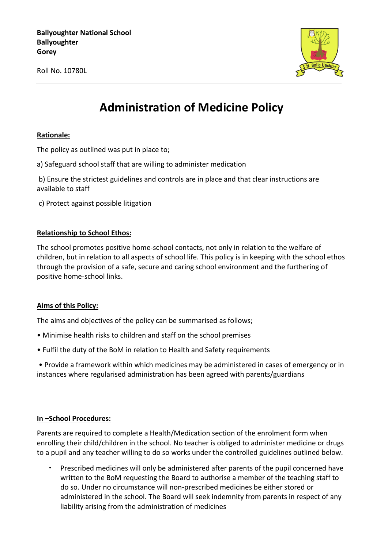**Ballyoughter National School Ballyoughter Gorey Advised Advised Advised Advised Advised Advised Advised Advised Advised Advised Advised Advised Advised** 

Roll No. 10780L



# **Administration of Medicine Policy**

#### **Rationale:**

The policy as outlined was put in place to;

a) Safeguard school staff that are willing to administer medication

b) Ensure the strictest guidelines and controls are in place and that clear instructions are available to staff

c) Protect against possible litigation

### **Relationship to School Ethos:**

The school promotes positive home-school contacts, not only in relation to the welfare of children, but in relation to all aspects of school life. This policy is in keeping with the school ethos through the provision of a safe, secure and caring school environment and the furthering of positive home-school links.

#### **Aims of this Policy:**

The aims and objectives of the policy can be summarised as follows;

- Minimise health risks to children and staff on the school premises
- Fulfil the duty of the BoM in relation to Health and Safety requirements

• Provide a framework within which medicines may be administered in cases of emergency or in instances where regularised administration has been agreed with parents/guardians

#### **In –School Procedures:**

Parents are required to complete a Health/Medication section of the enrolment form when enrolling their child/children in the school. No teacher is obliged to administer medicine or drugs to a pupil and any teacher willing to do so works under the controlled guidelines outlined below.

• Prescribed medicines will only be administered after parents of the pupil concerned have written to the BoM requesting the Board to authorise a member of the teaching staff to do so. Under no circumstance will non-prescribed medicines be either stored or administered in the school. The Board will seek indemnity from parents in respect of any liability arising from the administration of medicines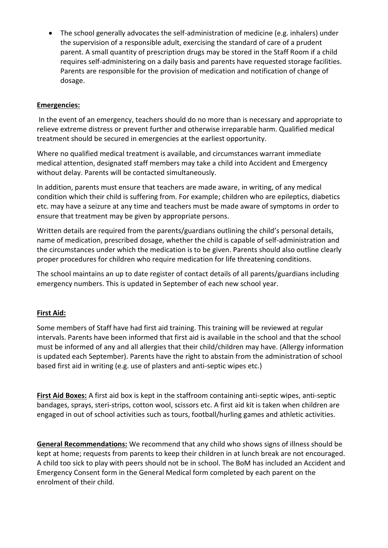• The school generally advocates the self-administration of medicine (e.g. inhalers) under the supervision of a responsible adult, exercising the standard of care of a prudent parent. A small quantity of prescription drugs may be stored in the Staff Room if a child requires self-administering on a daily basis and parents have requested storage facilities. Parents are responsible for the provision of medication and notification of change of dosage.

## **Emergencies:**

In the event of an emergency, teachers should do no more than is necessary and appropriate to relieve extreme distress or prevent further and otherwise irreparable harm. Qualified medical treatment should be secured in emergencies at the earliest opportunity.

Where no qualified medical treatment is available, and circumstances warrant immediate medical attention, designated staff members may take a child into Accident and Emergency without delay. Parents will be contacted simultaneously.

In addition, parents must ensure that teachers are made aware, in writing, of any medical condition which their child is suffering from. For example; children who are epileptics, diabetics etc. may have a seizure at any time and teachers must be made aware of symptoms in order to ensure that treatment may be given by appropriate persons.

Written details are required from the parents/guardians outlining the child's personal details, name of medication, prescribed dosage, whether the child is capable of self-administration and the circumstances under which the medication is to be given. Parents should also outline clearly proper procedures for children who require medication for life threatening conditions.

The school maintains an up to date register of contact details of all parents/guardians including emergency numbers. This is updated in September of each new school year.

## **First Aid:**

Some members of Staff have had first aid training. This training will be reviewed at regular intervals. Parents have been informed that first aid is available in the school and that the school must be informed of any and all allergies that their child/children may have. (Allergy information is updated each September). Parents have the right to abstain from the administration of school based first aid in writing (e.g. use of plasters and anti-septic wipes etc.)

**First Aid Boxes:** A first aid box is kept in the staffroom containing anti-septic wipes, anti-septic bandages, sprays, steri-strips, cotton wool, scissors etc. A first aid kit is taken when children are engaged in out of school activities such as tours, football/hurling games and athletic activities.

**General Recommendations:** We recommend that any child who shows signs of illness should be kept at home; requests from parents to keep their children in at lunch break are not encouraged. A child too sick to play with peers should not be in school. The BoM has included an Accident and Emergency Consent form in the General Medical form completed by each parent on the enrolment of their child.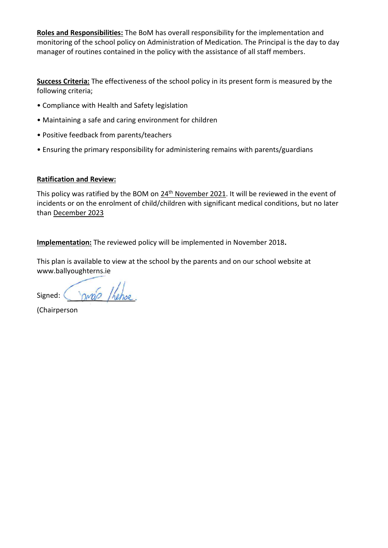**Roles and Responsibilities:** The BoM has overall responsibility for the implementation and monitoring of the school policy on Administration of Medication. The Principal is the day to day manager of routines contained in the policy with the assistance of all staff members.

**Success Criteria:** The effectiveness of the school policy in its present form is measured by the following criteria;

- Compliance with Health and Safety legislation
- Maintaining a safe and caring environment for children
- Positive feedback from parents/teachers
- Ensuring the primary responsibility for administering remains with parents/guardians

## **Ratification and Review:**

This policy was ratified by the BOM on  $24<sup>th</sup>$  November 2021. It will be reviewed in the event of incidents or on the enrolment of child/children with significant medical conditions, but no later than December 2023

**Implementation:** The reviewed policy will be implemented in November 2018**.**

This plan is available to view at the school by the parents and on our school website at www.ballyoughterns.ie

Signed:

(Chairperson